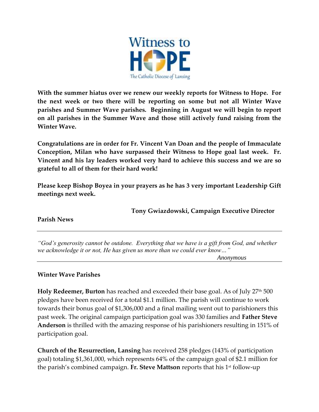

**With the summer hiatus over we renew our weekly reports for Witness to Hope. For the next week or two there will be reporting on some but not all Winter Wave parishes and Summer Wave parishes. Beginning in August we will begin to report on all parishes in the Summer Wave and those still actively fund raising from the Winter Wave.**

**Congratulations are in order for Fr. Vincent Van Doan and the people of Immaculate Conception, Milan who have surpassed their Witness to Hope goal last week. Fr. Vincent and his lay leaders worked very hard to achieve this success and we are so grateful to all of them for their hard work!**

**Please keep Bishop Boyea in your prayers as he has 3 very important Leadership Gift meetings next week.**

**Tony Gwiazdowski, Campaign Executive Director**

**Parish News**

*"God's generosity cannot be outdone. Everything that we have is a gift from God, and whether we acknowledge it or not, He has given us more than we could ever know…"*

 *Anonymous*

## **Winter Wave Parishes**

**Holy Redeemer, Burton** has reached and exceeded their base goal. As of July 27<sup>th</sup> 500 pledges have been received for a total \$1.1 million. The parish will continue to work towards their bonus goal of \$1,306,000 and a final mailing went out to parishioners this past week. The original campaign participation goal was 330 families and **Father Steve Anderson** is thrilled with the amazing response of his parishioners resulting in 151% of participation goal.

**Church of the Resurrection, Lansing** has received 258 pledges (143% of participation goal) totaling \$1,361,000, which represents 64% of the campaign goal of \$2.1 million for the parish's combined campaign. Fr. Steve Mattson reports that his 1<sup>st</sup> follow-up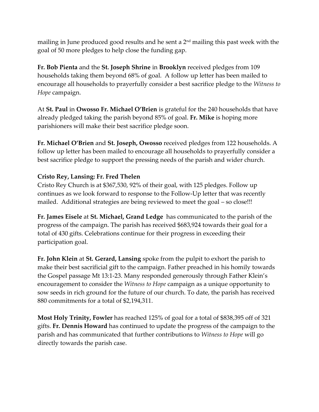mailing in June produced good results and he sent a  $2<sup>nd</sup>$  mailing this past week with the goal of 50 more pledges to help close the funding gap.

**Fr. Bob Pienta** and the **St. Joseph Shrine** in **Brooklyn** received pledges from 109 households taking them beyond 68% of goal. A follow up letter has been mailed to encourage all households to prayerfully consider a best sacrifice pledge to the *Witness to Hope* campaign.

At **St. Paul** in **Owosso Fr. Michael O'Brien** is grateful for the 240 households that have already pledged taking the parish beyond 85% of goal. **Fr. Mike** is hoping more parishioners will make their best sacrifice pledge soon.

**Fr. Michael O'Brien** and **St. Joseph, Owosso** received pledges from 122 households. A follow up letter has been mailed to encourage all households to prayerfully consider a best sacrifice pledge to support the pressing needs of the parish and wider church.

## **Cristo Rey, Lansing: Fr. Fred Thelen**

Cristo Rey Church is at \$367,530, 92% of their goal, with 125 pledges. Follow up continues as we look forward to response to the Follow-Up letter that was recently mailed. Additional strategies are being reviewed to meet the goal – so close!!!

**Fr. James Eisele** at **St. Michael, Grand Ledge** has communicated to the parish of the progress of the campaign. The parish has received \$683,924 towards their goal for a total of 430 gifts. Celebrations continue for their progress in exceeding their participation goal.

**Fr. John Klein** at **St. Gerard, Lansing** spoke from the pulpit to exhort the parish to make their best sacrificial gift to the campaign. Father preached in his homily towards the Gospel passage Mt 13:1-23. Many responded generously through Father Klein's encouragement to consider the *Witness to Hope* campaign as a unique opportunity to sow seeds in rich ground for the future of our church. To date, the parish has received 880 commitments for a total of \$2,194,311.

**Most Holy Trinity, Fowler** has reached 125% of goal for a total of \$838,395 off of 321 gifts. **Fr. Dennis Howard** has continued to update the progress of the campaign to the parish and has communicated that further contributions to *Witness to Hope* will go directly towards the parish case.